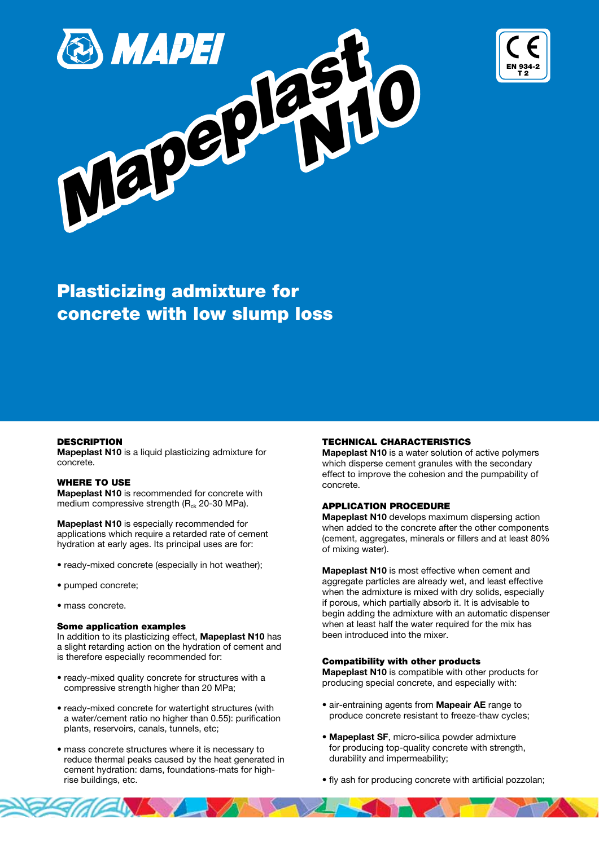



# Plasticizing admixture for concrete with low slump loss

#### **DESCRIPTION**

Mapeplast N10 is a liquid plasticizing admixture for concrete.

#### WHERE TO USE

Mapeplast N10 is recommended for concrete with medium compressive strength  $(R<sub>ck</sub> 20-30 MPa)$ .

Mapeplast N10 is especially recommended for applications which require a retarded rate of cement hydration at early ages. Its principal uses are for:

- ready-mixed concrete (especially in hot weather);
- pumped concrete;
- mass concrete.

# Some application examples

In addition to its plasticizing effect, Mapeplast N10 has a slight retarding action on the hydration of cement and is therefore especially recommended for:

- ready-mixed quality concrete for structures with a compressive strength higher than 20 MPa;
- ready-mixed concrete for watertight structures (with a water/cement ratio no higher than 0.55): purification plants, reservoirs, canals, tunnels, etc;
- mass concrete structures where it is necessary to reduce thermal peaks caused by the heat generated in cement hydration: dams, foundations-mats for highrise buildings, etc.

#### TECHNICAL CHARACTERISTICS

Mapeplast N10 is a water solution of active polymers which disperse cement granules with the secondary effect to improve the cohesion and the pumpability of concrete.

#### APPLICATION PROCEDURE

Mapeplast N10 develops maximum dispersing action when added to the concrete after the other components (cement, aggregates, minerals or fillers and at least 80% of mixing water).

Mapeplast N10 is most effective when cement and aggregate particles are already wet, and least effective when the admixture is mixed with dry solids, especially if porous, which partially absorb it. It is advisable to begin adding the admixture with an automatic dispenser when at least half the water required for the mix has been introduced into the mixer.

## Compatibility with other products

Mapeplast N10 is compatible with other products for producing special concrete, and especially with:

- air-entraining agents from Mapeair AE range to produce concrete resistant to freeze-thaw cycles;
- Mapeplast SF, micro-silica powder admixture for producing top-quality concrete with strength, durability and impermeability;
- fly ash for producing concrete with artificial pozzolan;